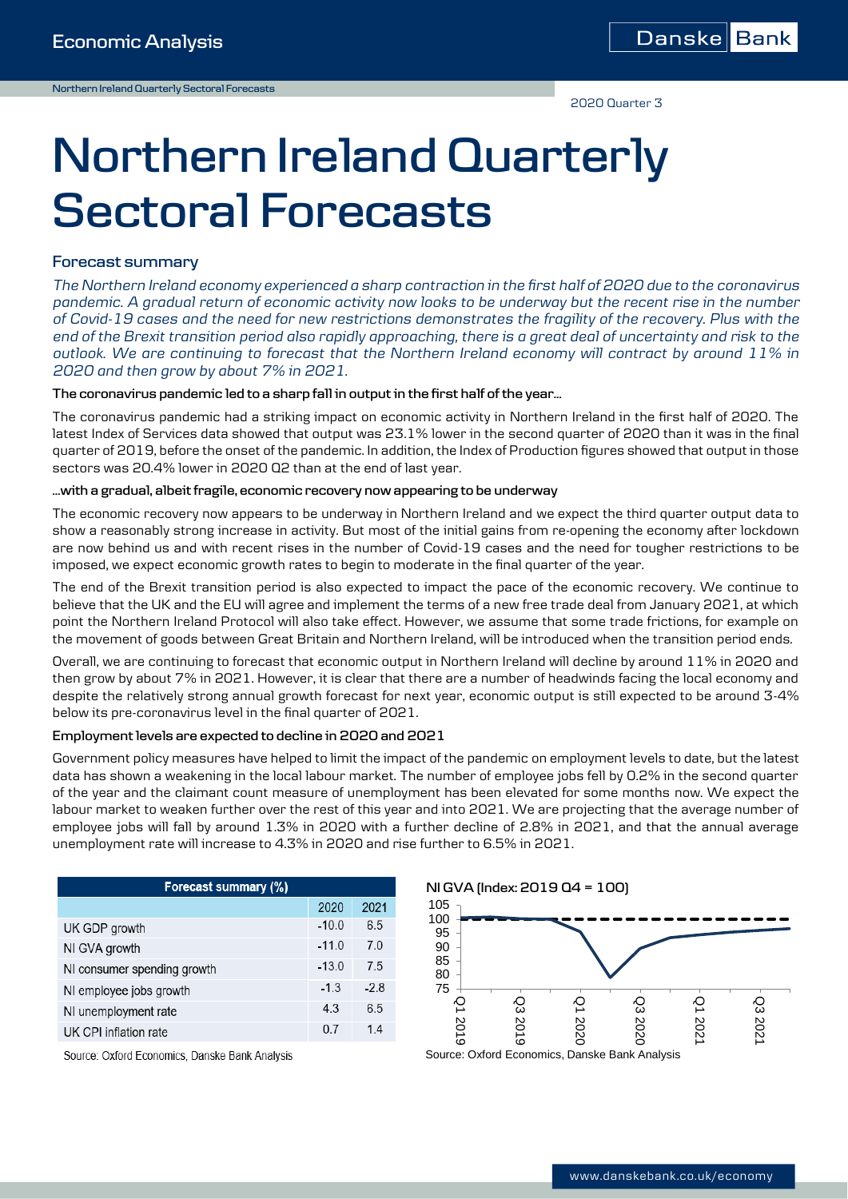2020 Quarter 3

# **Northern Ireland Quarterly Sectoral Forecasts**

### **Forecast summary**

*The Northern Ireland economy experienced a sharp contraction in the first half of 2020 due to the coronavirus pandemic. A gradual return of economic activity now looks to be underway but the recent rise in the number of Covid-19 cases and the need for new restrictions demonstrates the fragility of the recovery. Plus with the end of the Brexit transition period also rapidly approaching, there is a great deal of uncertainty and risk to the outlook. We are continuing to forecast that the Northern Ireland economy will contract by around 11% in 2020 and then grow by about 7% in 2021.*

#### **The coronavirus pandemic led to a sharp fall in output in the first half of the year…**

The coronavirus pandemic had a striking impact on economic activity in Northern Ireland in the first half of 2020. The latest Index of Services data showed that output was 23.1% lower in the second quarter of 2020 than it was in the final quarter of 2019, before the onset of the pandemic. In addition, the Index of Production figures showed that output in those sectors was 20.4% lower in 2020 Q2 than at the end of last year.

#### **…with a gradual, albeit fragile, economic recovery now appearing to be underway**

The economic recovery now appears to be underway in Northern Ireland and we expect the third quarter output data to show a reasonably strong increase in activity. But most of the initial gains from re-opening the economy after lockdown are now behind us and with recent rises in the number of Covid-19 cases and the need for tougher restrictions to be imposed, we expect economic growth rates to begin to moderate in the final quarter of the year.

The end of the Brexit transition period is also expected to impact the pace of the economic recovery. We continue to believe that the UK and the EU will agree and implement the terms of a new free trade deal from January 2021, at which point the Northern Ireland Protocol will also take effect. However, we assume that some trade frictions, for example on the movement of goods between Great Britain and Northern Ireland, will be introduced when the transition period ends.

Overall, we are continuing to forecast that economic output in Northern Ireland will decline by around 11% in 2020 and then grow by about 7% in 2021. However, it is clear that there are a number of headwinds facing the local economy and despite the relatively strong annual growth forecast for next year, economic output is still expected to be around 3-4% below its pre-coronavirus level in the final quarter of 2021.

#### **Employment levels are expected to decline in 2020 and 2021**

Government policy measures have helped to limit the impact of the pandemic on employment levels to date, but the latest data has shown a weakening in the local labour market. The number of employee jobs fell by 0.2% in the second quarter of the year and the claimant count measure of unemployment has been elevated for some months now. We expect the labour market to weaken further over the rest of this year and into 2021. We are projecting that the average number of employee jobs will fall by around 1.3% in 2020 with a further decline of 2.8% in 2021, and that the annual average unemployment rate will increase to 4.3% in 2020 and rise further to 6.5% in 2021.

| Forecast summary (%)        |         |        |  |  |
|-----------------------------|---------|--------|--|--|
|                             | 2020    | 2021   |  |  |
| UK GDP growth               | $-10.0$ | 6.5    |  |  |
| NI GVA growth               | $-11.0$ | 7.0    |  |  |
| NI consumer spending growth | $-13.0$ | 7.5    |  |  |
| NI employee jobs growth     | $-1.3$  | $-2.8$ |  |  |
| NI unemployment rate        | 4.3     | 6.5    |  |  |
| UK CPI inflation rate       | 0.7     | 14     |  |  |



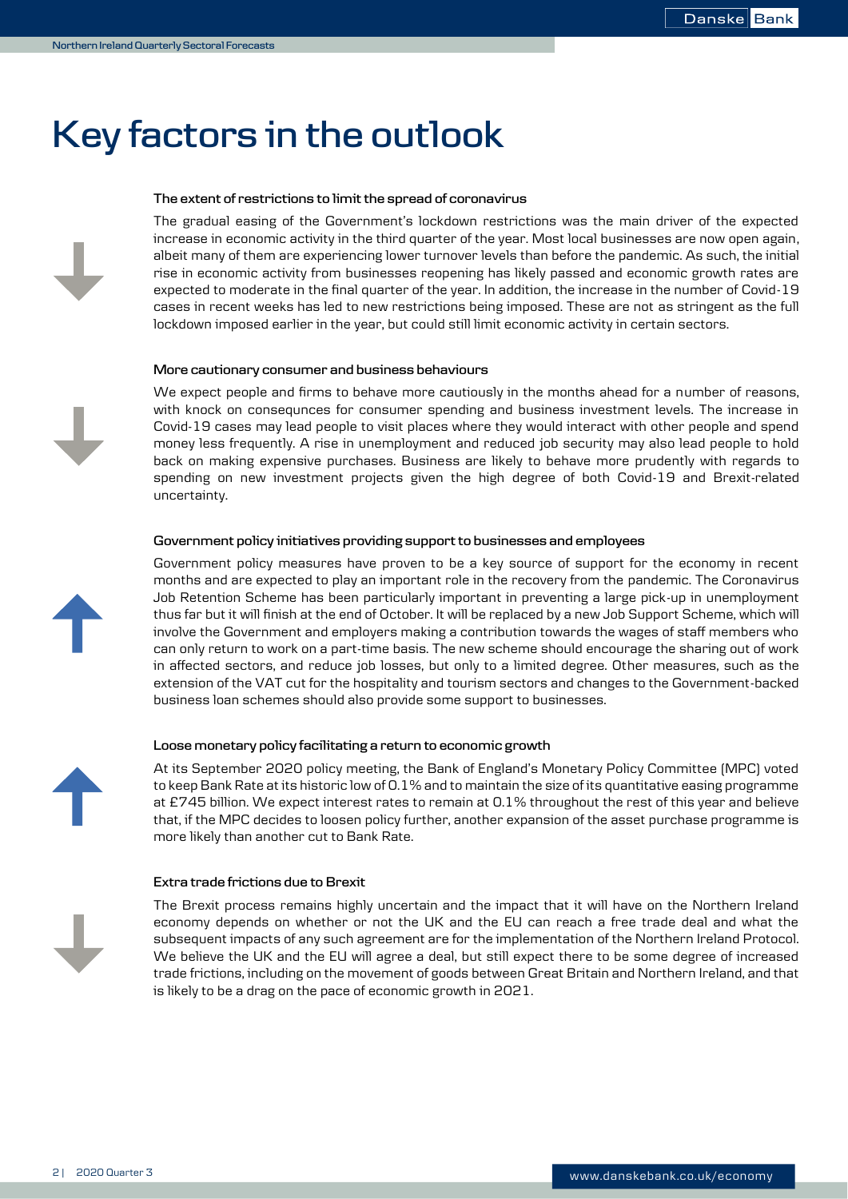# **Key factors in the outlook**

#### **The extent of restrictions to limit the spread of coronavirus**

The gradual easing of the Government's lockdown restrictions was the main driver of the expected increase in economic activity in the third quarter of the year. Most local businesses are now open again, albeit many of them are experiencing lower turnover levels than before the pandemic. As such, the initial rise in economic activity from businesses reopening has likely passed and economic growth rates are expected to moderate in the final quarter of the year. In addition, the increase in the number of Covid-19 cases in recent weeks has led to new restrictions being imposed. These are not as stringent as the full lockdown imposed earlier in the year, but could still limit economic activity in certain sectors.

#### **More cautionary consumer and business behaviours**

We expect people and firms to behave more cautiously in the months ahead for a number of reasons, with knock on consequnces for consumer spending and business investment levels. The increase in Covid-19 cases may lead people to visit places where they would interact with other people and spend money less frequently. A rise in unemployment and reduced job security may also lead people to hold back on making expensive purchases. Business are likely to behave more prudently with regards to spending on new investment projects given the high degree of both Covid-19 and Brexit-related uncertainty.

#### **Government policy initiatives providing support to businesses and employees**

Government policy measures have proven to be a key source of support for the economy in recent months and are expected to play an important role in the recovery from the pandemic. The Coronavirus Job Retention Scheme has been particularly important in preventing a large pick-up in unemployment thus far but it will finish at the end of October. It will be replaced by a new Job Support Scheme, which will involve the Government and employers making a contribution towards the wages of staff members who can only return to work on a part-time basis. The new scheme should encourage the sharing out of work in affected sectors, and reduce job losses, but only to a limited degree. Other measures, such as the extension of the VAT cut for the hospitality and tourism sectors and changes to the Government-backed business loan schemes should also provide some support to businesses.

#### **Loose monetary policy facilitating a return to economic growth**

At its September 2020 policy meeting, the Bank of England's Monetary Policy Committee (MPC) voted to keep Bank Rate at its historic low of 0.1% and to maintain the size of its quantitative easing programme at £745 billion. We expect interest rates to remain at 0.1% throughout the rest of this year and believe that, if the MPC decides to loosen policy further, another expansion of the asset purchase programme is more likely than another cut to Bank Rate.

#### **Extra trade frictions due to Brexit**

The Brexit process remains highly uncertain and the impact that it will have on the Northern Ireland economy depends on whether or not the UK and the EU can reach a free trade deal and what the subsequent impacts of any such agreement are for the implementation of the Northern Ireland Protocol. We believe the UK and the EU will agree a deal, but still expect there to be some degree of increased trade frictions, including on the movement of goods between Great Britain and Northern Ireland, and that is likely to be a drag on the pace of economic growth in 2021.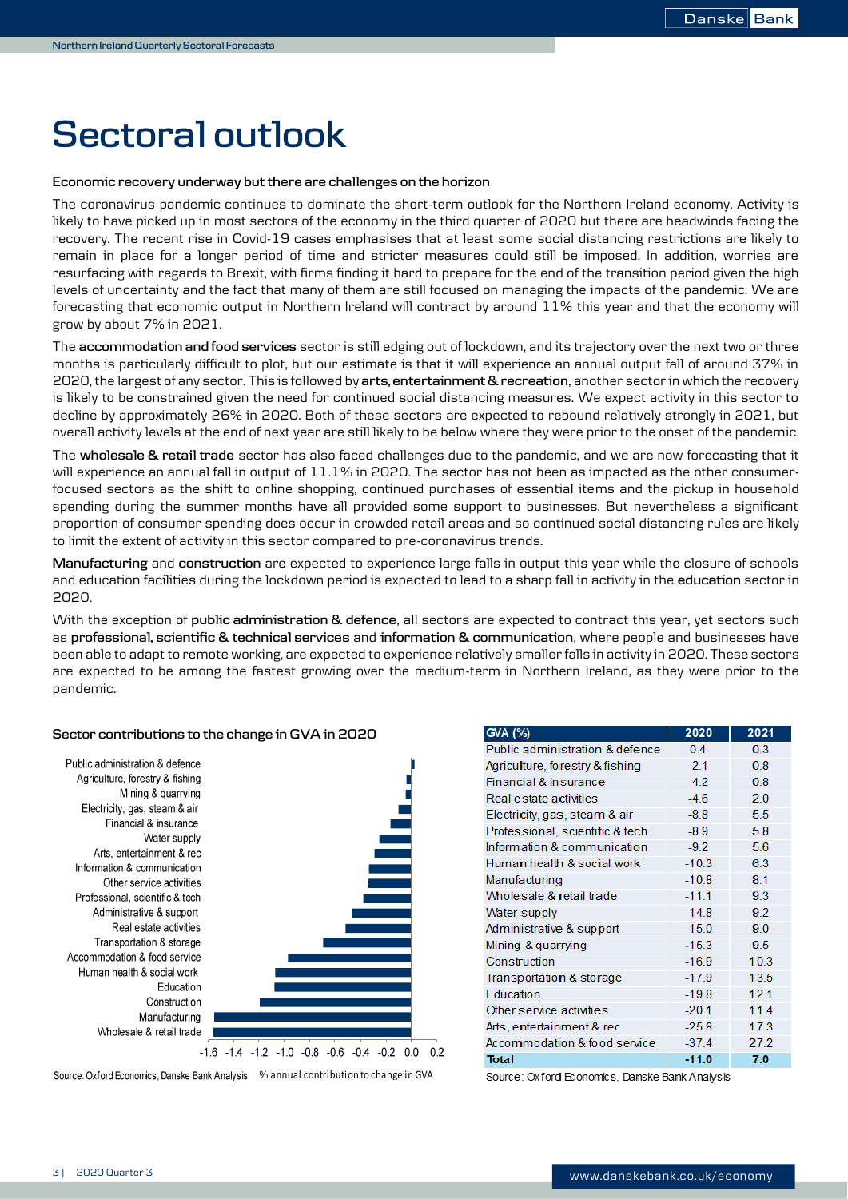# **Sectoral outlook**

#### **Economic recovery underway but there are challenges on the horizon**

The coronavirus pandemic continues to dominate the short-term outlook for the Northern Ireland economy. Activity is likely to have picked up in most sectors of the economy in the third quarter of 2020 but there are headwinds facing the recovery. The recent rise in Covid-19 cases emphasises that at least some social distancing restrictions are likely to remain in place for a longer period of time and stricter measures could still be imposed. In addition, worries are resurfacing with regards to Brexit, with firms finding it hard to prepare for the end of the transition period given the high levels of uncertainty and the fact that many of them are still focused on managing the impacts of the pandemic. We are forecasting that economic output in Northern Ireland will contract by around 11% this year and that the economy will grow by about 7% in 2021.

The **accommodation and food services** sector is still edging out of lockdown, and its trajectory over the next two or three months is particularly difficult to plot, but our estimate is that it will experience an annual output fall of around 37% in 2020, the largest of any sector. This is followed by **arts, entertainment & recreation**, another sector in which the recovery is likely to be constrained given the need for continued social distancing measures. We expect activity in this sector to decline by approximately 26% in 2020. Both of these sectors are expected to rebound relatively strongly in 2021, but overall activity levels at the end of next year are still likely to be below where they were prior to the onset of the pandemic.

The **wholesale & retail trade** sector has also faced challenges due to the pandemic, and we are now forecasting that it will experience an annual fall in output of 11.1% in 2020. The sector has not been as impacted as the other consumerfocused sectors as the shift to online shopping, continued purchases of essential items and the pickup in household spending during the summer months have all provided some support to businesses. But nevertheless a significant proportion of consumer spending does occur in crowded retail areas and so continued social distancing rules are likely to limit the extent of activity in this sector compared to pre-coronavirus trends.

**Manufacturing** and **construction** are expected to experience large falls in output this year while the closure of schools and education facilities during the lockdown period is expected to lead to a sharp fall in activity in the **education** sector in 2020.

With the exception of **public administration & defence**, all sectors are expected to contract this year, yet sectors such as **professional, scientific & technical services** and **information & communication**, where people and businesses have been able to adapt to remote working, are expected to experience relatively smaller falls in activity in 2020. These sectors are expected to be among the fastest growing over the medium-term in Northern Ireland, as they were prior to the pandemic.

#### **Sector contributions to the change in GVA in 2020**



Source: Oxford Economics, Danske Bank Analysis % annual contribution to change in GVA

| <b>GVA (%)</b>                  | 2020    | 2021 |
|---------------------------------|---------|------|
| Public administration & defence | 0.4     | 0.3  |
| Agriculture, forestry & fishing | $-2.1$  | 0.8  |
| Financial & insurance           | $-4.2$  | 0.8  |
| Real estate activities          | $-4.6$  | 20   |
| Electricity, gas, steam & air   | $-8.8$  | 5.5  |
| Professional, scientific & tech | $-8.9$  | 5.8  |
| Information & communication     | $-9.2$  | 5.6  |
| Human health & social work      | $-10.3$ | 63   |
| Manufacturing                   | $-10.8$ | 8.1  |
| Wholesale & retail trade        | $-11.1$ | 93   |
| Water supply                    | $-14.8$ | 9.2  |
| Administrative & support        | $-15.0$ | 90   |
| Mining & quarrying              | $-15.3$ | 9.5  |
| Construction                    | $-16.9$ | 10.3 |
| Transportation & storage        | $-17.9$ | 13.5 |
| <b>Education</b>                | $-19.8$ | 12.1 |
| Other service activities        | $-20.1$ | 11.4 |
| Arts, entertainment & rec       | $-25.8$ | 17.3 |
| Accommodation & food service    | $-37.4$ | 27.2 |
| Total                           | $-11.0$ | 7.0  |

Source: Oxford Economics, Danske Bank Analysis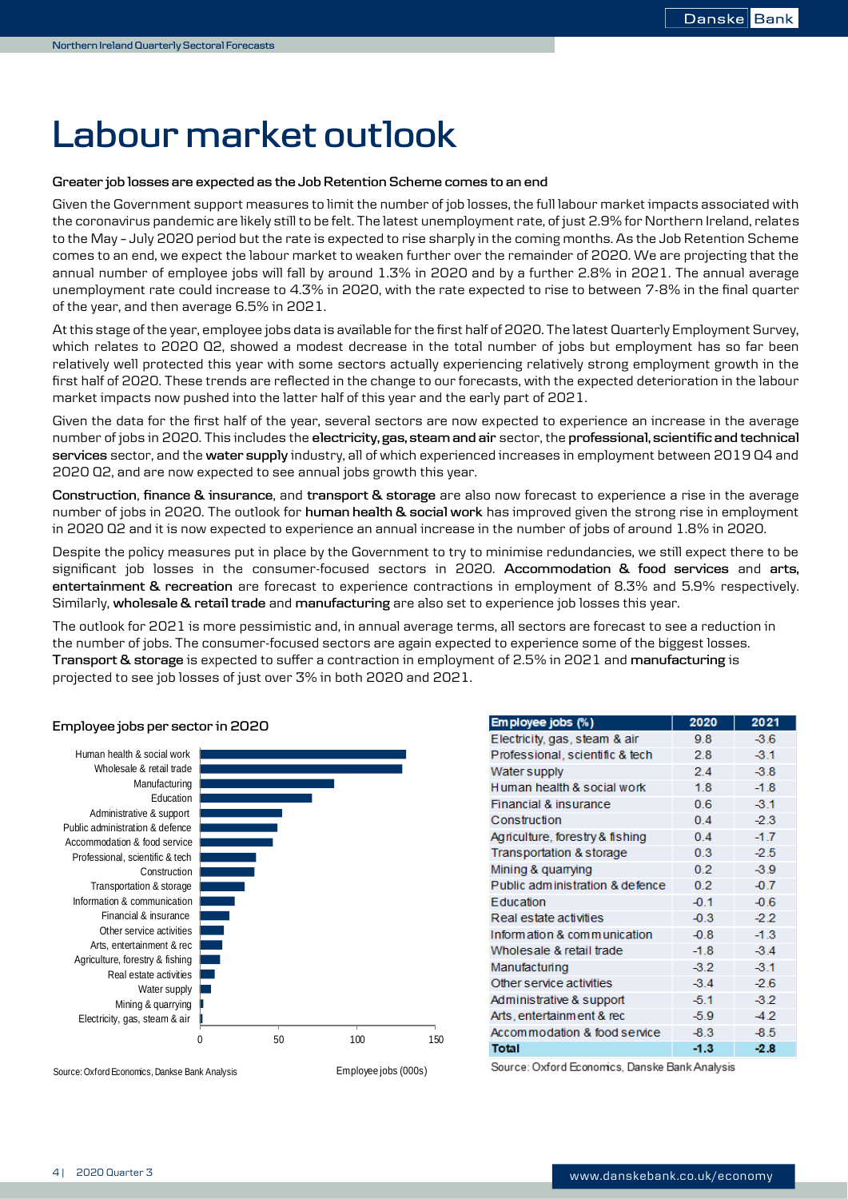# **Labour market outlook**

#### **Greater job losses are expected as the Job Retention Scheme comes to an end**

Given the Government support measures to limit the number of job losses, the full labour market impacts associated with the coronavirus pandemic are likely still to be felt. The latest unemployment rate, of just 2.9% for Northern Ireland, relates to the May – July 2020 period but the rate is expected to rise sharply in the coming months. As the Job Retention Scheme comes to an end, we expect the labour market to weaken further over the remainder of 2020. We are projecting that the annual number of employee jobs will fall by around 1.3% in 2020 and by a further 2.8% in 2021. The annual average unemployment rate could increase to 4.3% in 2020, with the rate expected to rise to between 7-8% in the final quarter of the year, and then average 6.5% in 2021.

At this stage of the year, employee jobs data is available for the first half of 2020. The latest Quarterly Employment Survey, which relates to 2020 Q2, showed a modest decrease in the total number of jobs but employment has so far been relatively well protected this year with some sectors actually experiencing relatively strong employment growth in the first half of 2020. These trends are reflected in the change to our forecasts, with the expected deterioration in the labour market impacts now pushed into the latter half of this year and the early part of 2021.

Given the data for the first half of the year, several sectors are now expected to experience an increase in the average number of jobs in 2020. This includes the **electricity, gas, steam and air** sector, the **professional, scientific and technical services** sector, and the **water supply** industry, all of which experienced increases in employment between 2019 Q4 and 2020 Q2, and are now expected to see annual jobs growth this year.

**Construction**, **finance & insurance**, and **transport & storage** are also now forecast to experience a rise in the average number of jobs in 2020. The outlook for **human health & social work** has improved given the strong rise in employment in 2020 Q2 and it is now expected to experience an annual increase in the number of jobs of around 1.8% in 2020.

Despite the policy measures put in place by the Government to try to minimise redundancies, we still expect there to be significant job losses in the consumer-focused sectors in 2020. **Accommodation & food services** and **arts, entertainment & recreation** are forecast to experience contractions in employment of 8.3% and 5.9% respectively. Similarly, **wholesale & retail trade** and **manufacturing** are also set to experience job losses this year.

The outlook for 2021 is more pessimistic and, in annual average terms, all sectors are forecast to see a reduction in the number of jobs. The consumer-focused sectors are again expected to experience some of the biggest losses. **Transport & storage** is expected to suffer a contraction in employment of 2.5% in 2021 and **manufacturing** is projected to see job losses of just over 3% in both 2020 and 2021.



| Employee jobs (%)                              | 2020   | 2021   |  |
|------------------------------------------------|--------|--------|--|
| Electricity, gas, steam & air                  | 9.8    | $-3.6$ |  |
| Professional, scientific & tech                | 2.8    | $-3.1$ |  |
| Water supply                                   | 2.4    | $-3.8$ |  |
| Human health & social work                     | 1.8    | $-1.8$ |  |
| Financial & insurance                          | 0.6    | $-3.1$ |  |
| Construction                                   | 0.4    | $-2.3$ |  |
| Agriculture, forestry & fishing                | 0.4    | $-1.7$ |  |
| Transportation & storage                       | 0.3    | $-2.5$ |  |
| Mining & quarrying                             | 0.2    | $-3.9$ |  |
| Public administration & defence                | 0.2    | $-0.7$ |  |
| Education                                      | $-0.1$ | $-0.6$ |  |
| Real estate activities                         | $-0.3$ | $-2.2$ |  |
| Information & communication                    | $-0.8$ | $-1.3$ |  |
| Wholesale & retail trade                       | $-1.8$ | $-3.4$ |  |
| Manufacturing                                  | $-3.2$ | $-3.1$ |  |
| Other service activities                       | $-3.4$ | $-2.6$ |  |
| Administrative & support                       | $-5.1$ | $-3.2$ |  |
| Arts, entertainment & rec                      | $-5.9$ | $-4.2$ |  |
| Accommodation & food service                   | $-8.3$ | $-8.5$ |  |
| Total                                          | $-1.3$ | $-2.8$ |  |
| Source: Oxford Foonomics, Danske Bank Analysis |        |        |  |

#### **Employee jobs per sector in 2020**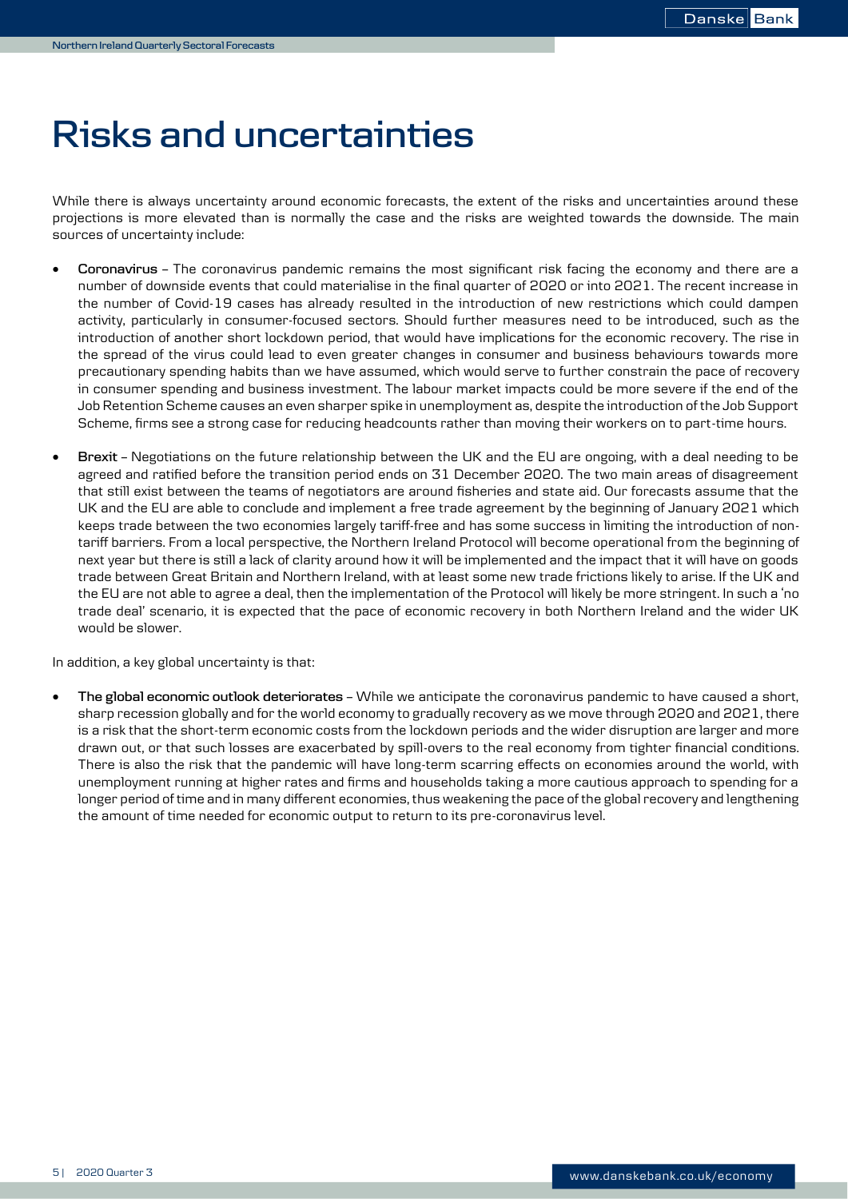# **Risks and uncertainties**

While there is always uncertainty around economic forecasts, the extent of the risks and uncertainties around these projections is more elevated than is normally the case and the risks are weighted towards the downside. The main sources of uncertainty include:

- **Coronavirus –** The coronavirus pandemic remains the most significant risk facing the economy and there are a number of downside events that could materialise in the final quarter of 2020 or into 2021. The recent increase in the number of Covid-19 cases has already resulted in the introduction of new restrictions which could dampen activity, particularly in consumer-focused sectors. Should further measures need to be introduced, such as the introduction of another short lockdown period, that would have implications for the economic recovery. The rise in the spread of the virus could lead to even greater changes in consumer and business behaviours towards more precautionary spending habits than we have assumed, which would serve to further constrain the pace of recovery in consumer spending and business investment. The labour market impacts could be more severe if the end of the Job Retention Scheme causes an even sharper spike in unemployment as, despite the introduction of the Job Support Scheme, firms see a strong case for reducing headcounts rather than moving their workers on to part-time hours.
- **Brexit –** Negotiations on the future relationship between the UK and the EU are ongoing, with a deal needing to be agreed and ratified before the transition period ends on 31 December 2020. The two main areas of disagreement that still exist between the teams of negotiators are around fisheries and state aid. Our forecasts assume that the UK and the EU are able to conclude and implement a free trade agreement by the beginning of January 2021 which keeps trade between the two economies largely tariff-free and has some success in limiting the introduction of nontariff barriers. From a local perspective, the Northern Ireland Protocol will become operational from the beginning of next year but there is still a lack of clarity around how it will be implemented and the impact that it will have on goods trade between Great Britain and Northern Ireland, with at least some new trade frictions likely to arise. If the UK and the EU are not able to agree a deal, then the implementation of the Protocol will likely be more stringent. In such a 'no trade deal' scenario, it is expected that the pace of economic recovery in both Northern Ireland and the wider UK would be slower.

In addition, a key global uncertainty is that:

 **The global economic outlook deteriorates –** While we anticipate the coronavirus pandemic to have caused a short, sharp recession globally and for the world economy to gradually recovery as we move through 2020 and 2021, there is a risk that the short-term economic costs from the lockdown periods and the wider disruption are larger and more drawn out, or that such losses are exacerbated by spill-overs to the real economy from tighter financial conditions. There is also the risk that the pandemic will have long-term scarring effects on economies around the world, with unemployment running at higher rates and firms and households taking a more cautious approach to spending for a longer period of time and in many different economies, thus weakening the pace of the global recovery and lengthening the amount of time needed for economic output to return to its pre-coronavirus level.